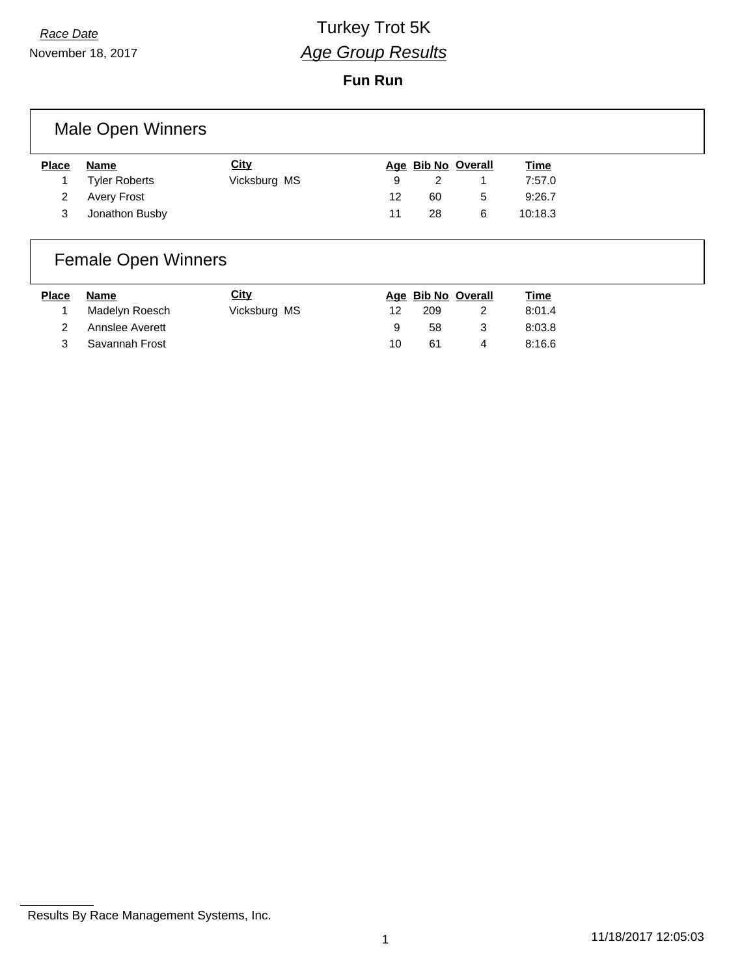November 18, 2017

# *Race Date* Turkey Trot 5K *Age Group Results*

**Fun Run**

| Male Open Winners |                      |              |   |                    |  |             |  |  |
|-------------------|----------------------|--------------|---|--------------------|--|-------------|--|--|
|                   |                      |              |   |                    |  |             |  |  |
| <b>Place</b>      | Name                 | <b>City</b>  |   | Age Bib No Overall |  | <b>Time</b> |  |  |
|                   | <b>Tyler Roberts</b> | Vicksburg MS | 9 |                    |  | 7:57.0      |  |  |

### Female Open Winners

| <b>Place</b> | Name              | <u>City</u>  |     |     | Age Bib No Overall | <u>Time</u> |
|--------------|-------------------|--------------|-----|-----|--------------------|-------------|
|              | Madelyn Roesch    | Vicksburg MS | 12  | 209 |                    | 8:01.4      |
|              | 2 Annslee Averett |              |     | 58  | -3                 | 8:03.8      |
|              | 3 Savannah Frost  |              | 10. | 61  | Δ                  | 8:16.6      |

3 Jonathon Busby 11 28 6 10:18.3

Results By Race Management Systems, Inc.